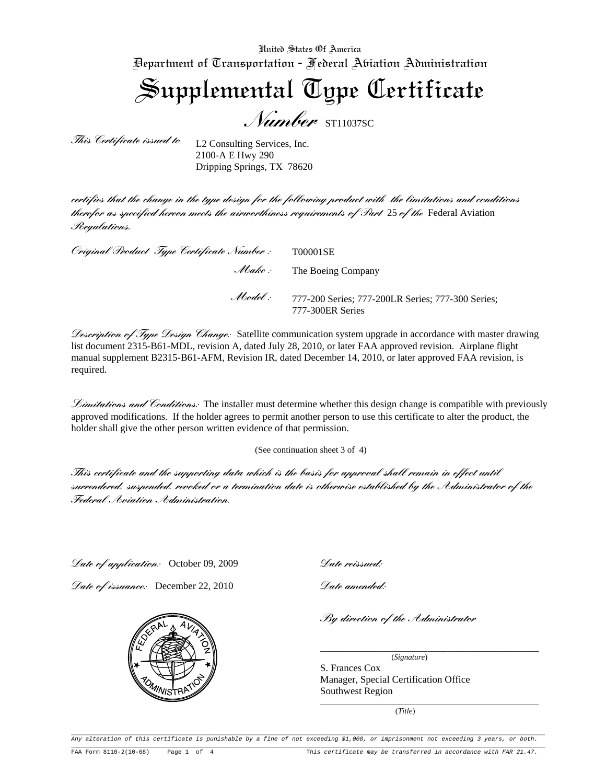United States Of America Department of Transportation - Federal Aviation Administration

Supplemental Type Certificate

*Number* ST11037SC

*This Certificate issued to* 

L2 Consulting Services, Inc. 2100-A E Hwy 290 Dripping Springs, TX 78620

*certifies that the change in the type design for the following product with the limitations and conditions therefor as specified hereon meets the airworthiness requirements of Part* 25 *of the* Federal Aviation *Regulations.*

| Original Product Type Certificate Number: | T00001SE                                                              |
|-------------------------------------------|-----------------------------------------------------------------------|
|                                           | <i>Abake</i> : The Boeing Company                                     |
| $M$ odel $\therefore$                     | 777-200 Series; 777-200LR Series; 777-300 Series;<br>777-300ER Series |

*Description of Type Design Change:* Satellite communication system upgrade in accordance with master drawing list document 2315-B61-MDL, revision A, dated July 28, 2010, or later FAA approved revision. Airplane flight manual supplement B2315-B61-AFM, Revision IR, dated December 14, 2010, or later approved FAA revision, is required.

*Limitations and Conditions:* The installer must determine whether this design change is compatible with previously approved modifications. If the holder agrees to permit another person to use this certificate to alter the product, the holder shall give the other person written evidence of that permission.

(See continuation sheet 3 of 4)

*This certificate and the supporting data which is the basis for approval shall remain in effect until surrendered, suspended, revoked or a termination date is otherwise established by the Administrator of the Federal Aviation Administration.* 

*Date of application:* October 09, 2009

*Date of issuance:* December 22, 2010



*Date reissued:* 

*Date amended:* 

*By direction of the Administrator*

(*Signature*)

\_\_\_\_\_\_\_\_\_\_\_\_\_\_\_\_\_\_\_\_\_\_\_\_\_\_\_\_\_\_\_\_\_\_\_\_\_\_\_\_\_\_\_\_\_\_\_\_\_\_\_\_\_\_\_

S. Frances Cox Manager, Special Certification Office Southwest Region \_\_\_\_\_\_\_\_\_\_\_\_\_\_\_\_\_\_\_\_\_\_\_\_\_\_\_\_\_\_\_\_\_\_\_\_\_\_\_\_\_\_\_\_\_\_\_\_\_\_\_\_\_\_\_

(*Title*)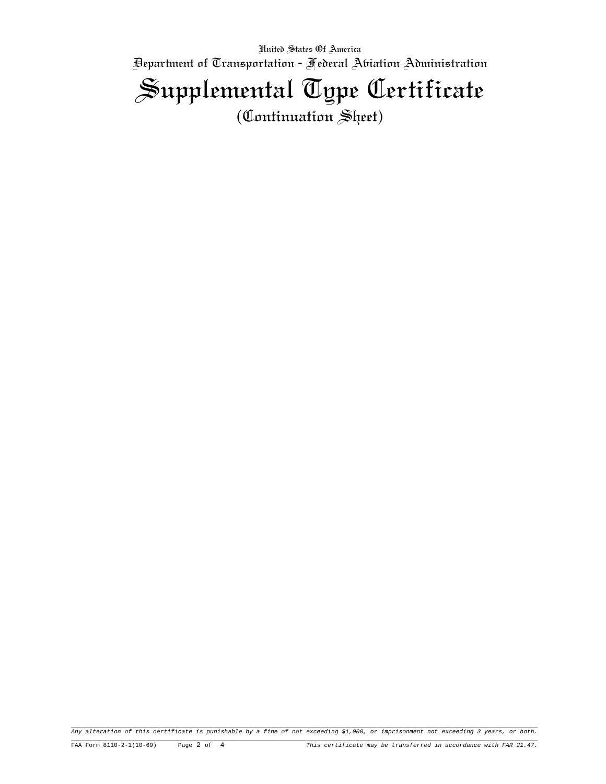United States Of America Department of Transportation - Federal Aviation Administration Supplemental Type Certificate (Continuation Sheet)

Any alteration of this certificate is punishable by a fine of not exceeding \$1,000, or imprisonment not exceeding 3 years, or both.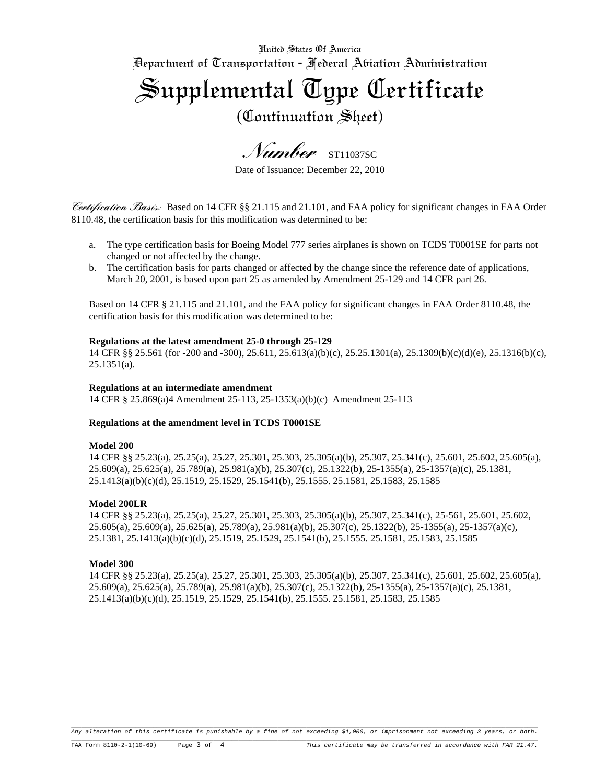United States Of America

Department of Transportation - Federal Aviation Administration

Supplemental Type Certificate

(Continuation Sheet)

*Number* ST11037SC

Date of Issuance: December 22, 2010

*Certification Basis:* Based on 14 CFR §§ 21.115 and 21.101, and FAA policy for significant changes in FAA Order 8110.48, the certification basis for this modification was determined to be:

- a. The type certification basis for Boeing Model 777 series airplanes is shown on TCDS T0001SE for parts not changed or not affected by the change.
- b. The certification basis for parts changed or affected by the change since the reference date of applications, March 20, 2001, is based upon part 25 as amended by Amendment 25-129 and 14 CFR part 26.

Based on 14 CFR § 21.115 and 21.101, and the FAA policy for significant changes in FAA Order 8110.48, the certification basis for this modification was determined to be:

# **Regulations at the latest amendment 25-0 through 25-129**

14 CFR §§ 25.561 (for -200 and -300), 25.611, 25.613(a)(b)(c), 25.25.1301(a), 25.1309(b)(c)(d)(e), 25.1316(b)(c),  $25.1351(a)$ .

## **Regulations at an intermediate amendment**

14 CFR § 25.869(a)4 Amendment 25-113, 25-1353(a)(b)(c) Amendment 25-113

## **Regulations at the amendment level in TCDS T0001SE**

#### **Model 200**

14 CFR §§ 25.23(a), 25.25(a), 25.27, 25.301, 25.303, 25.305(a)(b), 25.307, 25.341(c), 25.601, 25.602, 25.605(a), 25.609(a), 25.625(a), 25.789(a), 25.981(a)(b), 25.307(c), 25.1322(b), 25-1355(a), 25-1357(a)(c), 25.1381, 25.1413(a)(b)(c)(d), 25.1519, 25.1529, 25.1541(b), 25.1555. 25.1581, 25.1583, 25.1585

## **Model 200LR**

14 CFR §§ 25.23(a), 25.25(a), 25.27, 25.301, 25.303, 25.305(a)(b), 25.307, 25.341(c), 25-561, 25.601, 25.602, 25.605(a), 25.609(a), 25.625(a), 25.789(a), 25.981(a)(b), 25.307(c), 25.1322(b), 25-1355(a), 25-1357(a)(c), 25.1381, 25.1413(a)(b)(c)(d), 25.1519, 25.1529, 25.1541(b), 25.1555. 25.1581, 25.1583, 25.1585

#### **Model 300**

14 CFR §§ 25.23(a), 25.25(a), 25.27, 25.301, 25.303, 25.305(a)(b), 25.307, 25.341(c), 25.601, 25.602, 25.605(a), 25.609(a), 25.625(a), 25.789(a), 25.981(a)(b), 25.307(c), 25.1322(b), 25-1355(a), 25-1357(a)(c), 25.1381, 25.1413(a)(b)(c)(d), 25.1519, 25.1529, 25.1541(b), 25.1555. 25.1581, 25.1583, 25.1585